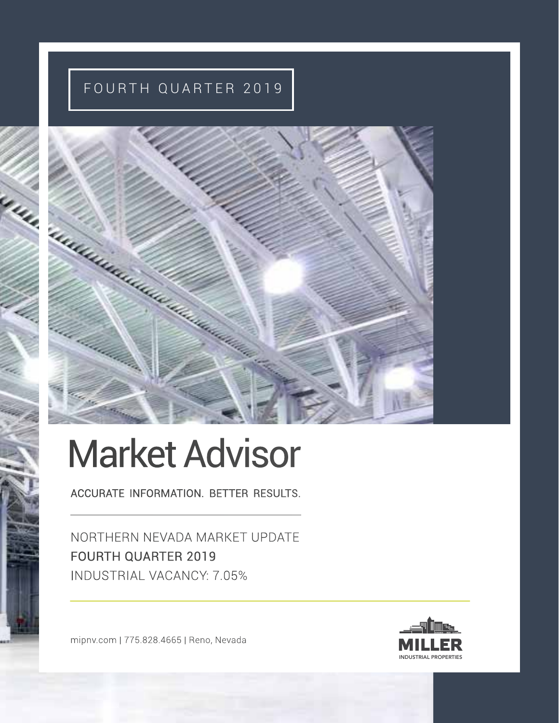### FOURTH QUARTER 2019



# Market Advisor

ACCURATE INFORMATION. BETTER RESULTS.

NORTHERN NEVADA MARKET UPDATE FOURTH QUARTER 2019 INDUSTRIAL VACANCY: 7.05%

mipnv.com | 775.828.4665 | Reno, Nevada

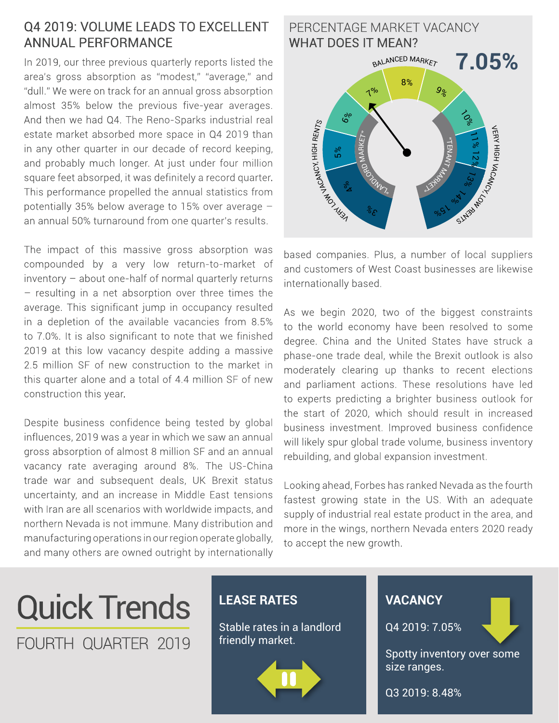#### Q4 2019: VOLUME LEADS TO EXCELLENT ANNUAL PERFORMANCE

In 2019, our three previous quarterly reports listed the area's gross absorption as "modest," "average," and "dull." We were on track for an annual gross absorption almost 35% below the previous five-year averages. And then we had Q4. The Reno-Sparks industrial real estate market absorbed more space in Q4 2019 than in any other quarter in our decade of record keeping, and probably much longer. At just under four million square feet absorped, it was definitely a record quarter. This performance propelled the annual statistics from potentially 35% below average to 15% over average – an annual 50% turnaround from one quarter's results.

The impact of this massive gross absorption was compounded by a very low return-to-market of inventory – about one-half of normal quarterly returns – resulting in a net absorption over three times the average. This significant jump in occupancy resulted in a depletion of the available vacancies from 8.5% to 7.0%. It is also significant to note that we finished 2019 at this low vacancy despite adding a massive 2.5 million SF of new construction to the market in this quarter alone and a total of 4.4 million SF of new construction this year.

Despite business confidence being tested by global influences, 2019 was a year in which we saw an annual gross absorption of almost 8 million SF and an annual vacancy rate averaging around 8%. The US-China trade war and subsequent deals, UK Brexit status uncertainty, and an increase in Middle East tensions with Iran are all scenarios with worldwide impacts, and northern Nevada is not immune. Many distribution and manufacturing operations in our region operate globally, and many others are owned outright by internationally



based companies. Plus, a number of local suppliers and customers of West Coast businesses are likewise internationally based.

As we begin 2020, two of the biggest constraints to the world economy have been resolved to some degree. China and the United States have struck a phase-one trade deal, while the Brexit outlook is also moderately clearing up thanks to recent elections and parliament actions. These resolutions have led to experts predicting a brighter business outlook for the start of 2020, which should result in increased business investment. Improved business confidence will likely spur global trade volume, business inventory rebuilding, and global expansion investment.

Looking ahead, Forbes has ranked Nevada as the fourth fastest growing state in the US. With an adequate supply of industrial real estate product in the area, and more in the wings, northern Nevada enters 2020 ready to accept the new growth.

## Quick Trends FOURTH QUARTER 2019

#### **LEASE RATES**

Stable rates in a landlord friendly market.



#### **VACANCY**

Q4 2019: 7.05%

Spotty inventory over some size ranges.

Q3 2019: 8.48%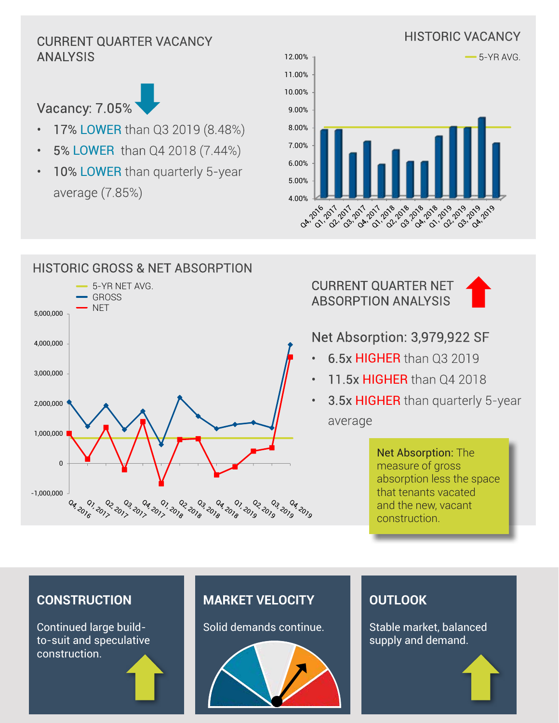## ANALYSIS



- 17% LOWER than Q3 2019 (8.48%)
- 5% LOWER than Q4 2018 (7.44%)
- 10% LOWER than quarterly 5-year average (7.85%)



#### HISTORIC GROSS & NET ABSORPTION 5-YR NET AVG. GROSS **NET** 5,000,000 4,000,000 3,000,000 2,000,000 1,000,000  $\Omega$ -1,000,000 02, 03<br>11<sup>2, 20</sup>12 02 2018 0<sub>3, 201</sub>,<br>01, 201, 0<sub>3 2018</sub><br>018 2018  $\frac{Q_7}{Q_6}$  ,  $\frac{Q_7}{Q_7}$ 22 2019<br>210<sup>5 201</sup>9 0<sub>3 -</sub>04<br>019 - 019 0<sub>4, 2019</sub> 04.2016 02 101 2019<br>010<sup>2</sup> 2017 2018 04 - 201<sub>9 - 2</sub>019<br>010 - 2019 - <sup>91</sup>0

CURRENT QUARTER NET ABSORPTION ANALYSIS



#### Net Absorption: 3,979,922 SF

- 6.5x HIGHER than Q3 2019
- 11.5x HIGHER than 04 2018
- 3.5x HIGHER than quarterly 5-year average

Net Absorption: The measure of gross absorption less the space that tenants vacated and the new, vacant construction.

#### **CONSTRUCTION**

Continued large buildto-suit and speculative construction.

#### **MARKET VELOCITY**

Solid demands continue.



#### **OUTLOOK**

Stable market, balanced supply and demand.